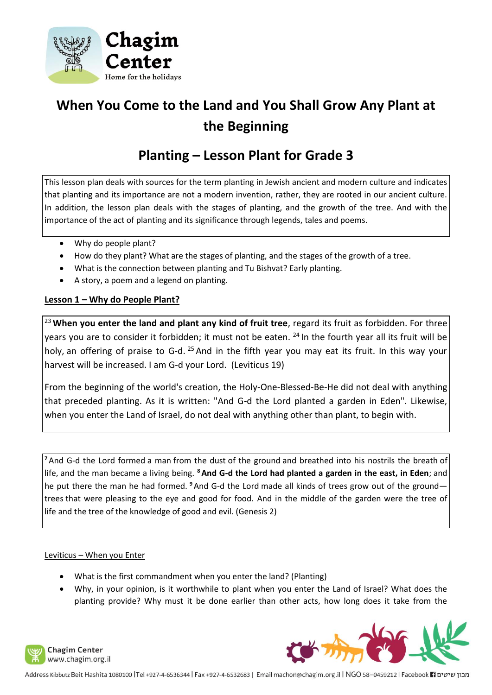

# **When You Come to the Land and You Shall Grow Any Plant at the Beginning**

# **Planting – Lesson Plant for Grade 3**

This lesson plan deals with sources for the term planting in Jewish ancient and modern culture and indicates that planting and its importance are not a modern invention, rather, they are rooted in our ancient culture. In addition, the lesson plan deals with the stages of planting, and the growth of the tree. And with the importance of the act of planting and its significance through legends, tales and poems.

- Why do people plant?
- How do they plant? What are the stages of planting, and the stages of the growth of a tree.
- What is the connection between planting and Tu Bishvat? Early planting.
- A story, a poem and a legend on planting.

# **Lesson 1 – Why do People Plant?**

<sup>23</sup> **When you enter the land and plant any kind of fruit tree**, regard its fruit as forbidden. For three years you are to consider it forbidden; it must not be eaten. <sup>24</sup> In the fourth year all its fruit will be holy, an offering of praise to G-d. <sup>25</sup> And in the fifth year you may eat its fruit. In this way your harvest will be increased. I am G-d your Lord. (Leviticus 19)

From the beginning of the world's creation, the Holy-One-Blessed-Be-He did not deal with anything that preceded planting. As it is written: "And G-d the Lord planted a garden in Eden". Likewise, when you enter the Land of Israel, do not deal with anything other than plant, to begin with.

<sup>7</sup> And G-d the Lord formed a man from the dust of the ground and breathed into his nostrils the breath of life, and the man became a living being. **<sup>8</sup>And G-d the Lord had planted a garden in the east, in Eden**; and he put there the man he had formed. **<sup>9</sup>**And G-d the Lord made all kinds of trees grow out of the ground trees that were pleasing to the eye and good for food. And in the middle of the garden were the tree of life and the tree of the knowledge of good and evil. (Genesis 2)

# Leviticus – When you Enter

- What is the first commandment when you enter the land? (Planting)
- Why, in your opinion, is it worthwhile to plant when you enter the Land of Israel? What does the planting provide? Why must it be done earlier than other acts, how long does it take from the





מבון שיטים Facebook 11 ו-1932 Address Kibbutz Beit Hashita 1080100 |Tel +927-4-6530344 | Fax +927-4-6532683 | Email machon@chagim.org.il | NGO 58-0459212 | Facebook 1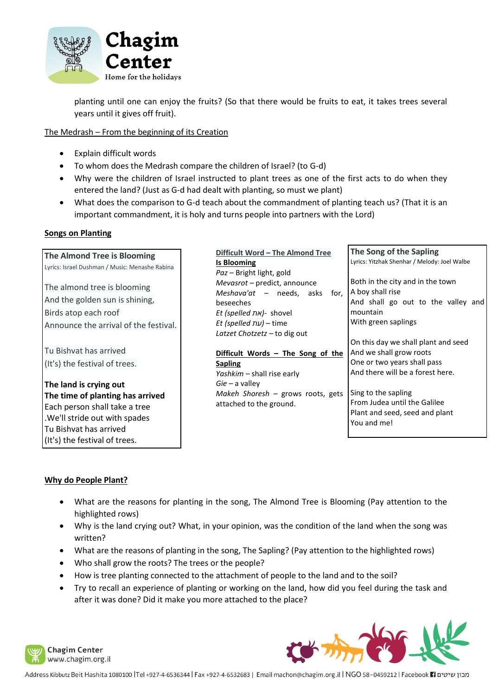

planting until one can enjoy the fruits? (So that there would be fruits to eat, it takes trees several years until it gives off fruit).

#### The Medrash – From the beginning of its Creation

- Explain difficult words
- To whom does the Medrash compare the children of Israel? (to G-d)
- Why were the children of Israel instructed to plant trees as one of the first acts to do when they entered the land? (Just as G-d had dealt with planting, so must we plant)
- What does the comparison to G-d teach about the commandment of planting teach us? (That it is an important commandment, it is holy and turns people into partners with the Lord)

#### **Songs on Planting**

| The Almond Tree is Blooming                                                                                                    | Difficult Word - The Almond Tree                                                                                                                                | The Song of the Sapling                                                                                                       |
|--------------------------------------------------------------------------------------------------------------------------------|-----------------------------------------------------------------------------------------------------------------------------------------------------------------|-------------------------------------------------------------------------------------------------------------------------------|
| Lyrics: Israel Dushman / Music: Menashe Rabina                                                                                 | <b>Is Blooming</b><br>Paz - Bright light, gold                                                                                                                  | Lyrics: Yitzhak Shenhar / Melody: Joel Walbe                                                                                  |
| The almond tree is blooming<br>And the golden sun is shining,<br>Birds atop each roof<br>Announce the arrival of the festival. | Mevasrot - predict, announce<br><i>Meshava'at</i> $-$ needs, asks for,<br>beseeches<br>Et (spelled את Et (spelled nk)- shovel<br>Et (spelled עת Et (spelled nu) | Both in the city and in the town<br>A boy shall rise<br>And shall go out to the valley and<br>mountain<br>With green saplings |
|                                                                                                                                | Latzet Chotzetz - to dig out                                                                                                                                    | On this day we shall plant and seed                                                                                           |
| Tu Bishvat has arrived                                                                                                         | Difficult Words - The Song of the                                                                                                                               | And we shall grow roots                                                                                                       |
| (It's) the festival of trees.                                                                                                  | <b>Sapling</b><br>Yashkim - shall rise early                                                                                                                    | One or two years shall pass<br>And there will be a forest here.                                                               |
| The land is crying out                                                                                                         | $Gie - a$ valley                                                                                                                                                |                                                                                                                               |
| The time of planting has arrived                                                                                               | Makeh Shoresh - grows roots, gets                                                                                                                               | Sing to the sapling                                                                                                           |
| Each person shall take a tree<br>.We'll stride out with spades<br>Tu Bishvat has arrived                                       | attached to the ground.                                                                                                                                         | From Judea until the Galilee<br>Plant and seed, seed and plant<br>You and me!                                                 |

# **Why do People Plant?**

(It's) the festival of trees.

- What are the reasons for planting in the song, The Almond Tree is Blooming (Pay attention to the highlighted rows)
- Why is the land crying out? What, in your opinion, was the condition of the land when the song was written?
- What are the reasons of planting in the song, The Sapling? (Pay attention to the highlighted rows)
- Who shall grow the roots? The trees or the people?
- How is tree planting connected to the attachment of people to the land and to the soil?
- Try to recall an experience of planting or working on the land, how did you feel during the task and after it was done? Did it make you more attached to the place?



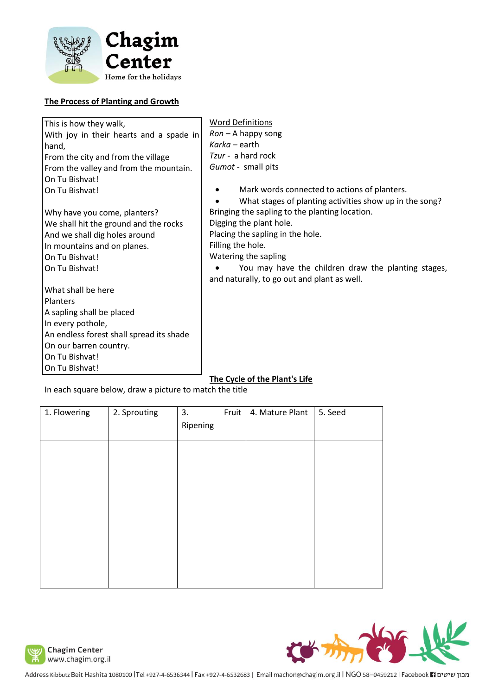

# **The Process of Planting and Growth**

| This is how they walk,                                  | <b>Word Definitions</b>                                 |  |  |  |  |  |
|---------------------------------------------------------|---------------------------------------------------------|--|--|--|--|--|
| With joy in their hearts and a spade in                 | $Ron - A$ happy song                                    |  |  |  |  |  |
| hand,                                                   | $Karka - earth$                                         |  |  |  |  |  |
| From the city and from the village                      | Tzur - a hard rock                                      |  |  |  |  |  |
| From the valley and from the mountain.                  | Gumot - small pits                                      |  |  |  |  |  |
| On Tu Bishvat!                                          |                                                         |  |  |  |  |  |
| On Tu Bishvat!                                          | Mark words connected to actions of planters.            |  |  |  |  |  |
|                                                         | What stages of planting activities show up in the song? |  |  |  |  |  |
| Why have you come, planters?                            | Bringing the sapling to the planting location.          |  |  |  |  |  |
| We shall hit the ground and the rocks                   | Digging the plant hole.                                 |  |  |  |  |  |
| And we shall dig holes around                           | Placing the sapling in the hole.                        |  |  |  |  |  |
| In mountains and on planes.                             | Filling the hole.                                       |  |  |  |  |  |
| On Tu Bishvat!                                          | Watering the sapling                                    |  |  |  |  |  |
| On Tu Bishvat!                                          | You may have the children draw the planting stages,     |  |  |  |  |  |
|                                                         | and naturally, to go out and plant as well.             |  |  |  |  |  |
| What shall be here                                      |                                                         |  |  |  |  |  |
| Planters                                                |                                                         |  |  |  |  |  |
| A sapling shall be placed                               |                                                         |  |  |  |  |  |
| In every pothole,                                       |                                                         |  |  |  |  |  |
| An endless forest shall spread its shade                |                                                         |  |  |  |  |  |
| On our barren country.                                  |                                                         |  |  |  |  |  |
| On Tu Bishvat!                                          |                                                         |  |  |  |  |  |
| On Tu Bishvat!                                          |                                                         |  |  |  |  |  |
| The Cycle of the Plant's Life                           |                                                         |  |  |  |  |  |
| In each square below, draw a picture to match the title |                                                         |  |  |  |  |  |

| 1. Flowering | 2. Sprouting | 3.<br>Ripening | <b>Fruit</b> | 4. Mature Plant | 5. Seed |
|--------------|--------------|----------------|--------------|-----------------|---------|
|              |              |                |              |                 |         |
|              |              |                |              |                 |         |
|              |              |                |              |                 |         |
|              |              |                |              |                 |         |
|              |              |                |              |                 |         |





Address Kibbutz Beit Hashita 1080100 |Tel +927-4-6536344 | Fax +927-4-6532683 | Email machon@chagim.org.il | NGO 58-0459212 | Facebook | activum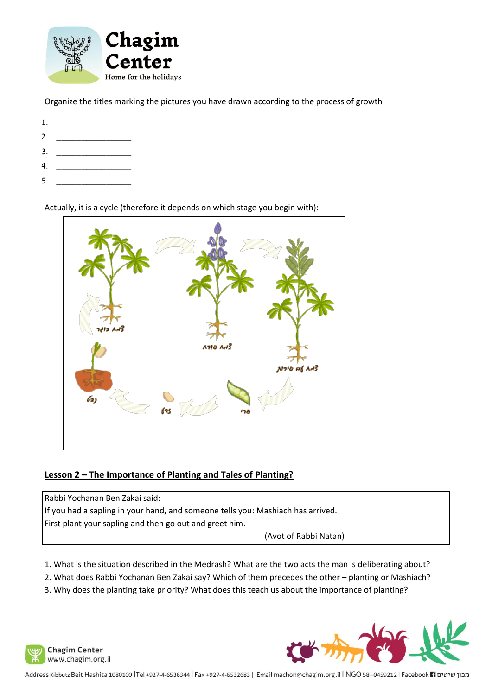

Organize the titles marking the pictures you have drawn according to the process of growth

- 1. \_\_\_\_\_\_\_\_\_\_\_\_\_\_\_
- 2. \_\_\_\_\_\_\_\_\_\_\_\_\_\_\_
- 3. <u>\_\_\_\_\_\_\_\_\_\_\_\_\_\_\_\_\_\_\_\_\_\_\_\_\_\_\_\_\_\_</u>
- 4. \_\_\_\_\_\_\_\_\_\_\_\_\_\_\_
- 5. <u>\_\_\_\_\_\_\_\_\_\_\_\_\_\_\_\_\_\_\_\_\_\_\_</u>

Actually, it is a cycle (therefore it depends on which stage you begin with):



# **Lesson 2 – The Importance of Planting and Tales of Planting?**

Rabbi Yochanan Ben Zakai said: If you had a sapling in your hand, and someone tells you: Mashiach has arrived. First plant your sapling and then go out and greet him. (Avot of Rabbi Natan)

- 1. What is the situation described in the Medrash? What are the two acts the man is deliberating about?
- 2. What does Rabbi Yochanan Ben Zakai say? Which of them precedes the other planting or Mashiach?
- 3. Why does the planting take priority? What does this teach us about the importance of planting?



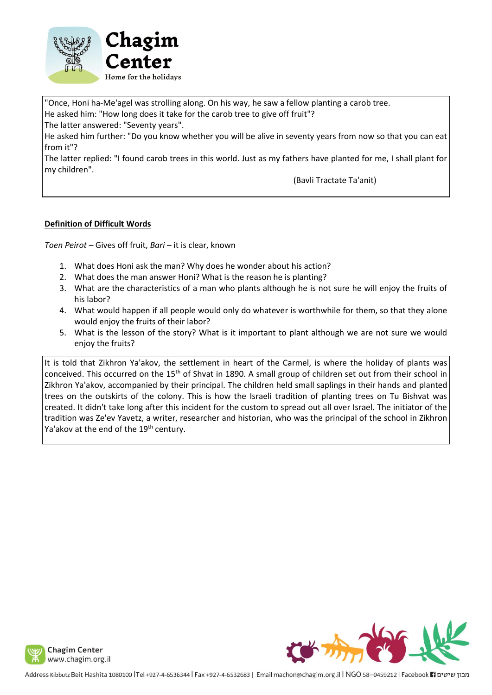

"Once, Honi ha-Me'agel was strolling along. On his way, he saw a fellow planting a carob tree. He asked him: "How long does it take for the carob tree to give off fruit"? The latter answered: "Seventy years".

He asked him further: "Do you know whether you will be alive in seventy years from now so that you can eat from it"?

The latter replied: "I found carob trees in this world. Just as my fathers have planted for me, I shall plant for my children".

(Bavli Tractate Ta'anit)

# **Definition of Difficult Words**

*Toen Peirot –* Gives off fruit, *Bari –* it is clear, known

- 1. What does Honi ask the man? Why does he wonder about his action?
- 2. What does the man answer Honi? What is the reason he is planting?
- 3. What are the characteristics of a man who plants although he is not sure he will enjoy the fruits of his labor?
- 4. What would happen if all people would only do whatever is worthwhile for them, so that they alone would enjoy the fruits of their labor?
- 5. What is the lesson of the story? What is it important to plant although we are not sure we would enjoy the fruits?

It is told that Zikhron Ya'akov, the settlement in heart of the Carmel, is where the holiday of plants was conceived. This occurred on the 15<sup>th</sup> of Shvat in 1890. A small group of children set out from their school in Zikhron Ya'akov, accompanied by their principal. The children held small saplings in their hands and planted trees on the outskirts of the colony. This is how the Israeli tradition of planting trees on Tu Bishvat was created. It didn't take long after this incident for the custom to spread out all over Israel. The initiator of the tradition was Ze'ev Yavetz, a writer, researcher and historian, who was the principal of the school in Zikhron Ya'akov at the end of the 19<sup>th</sup> century.

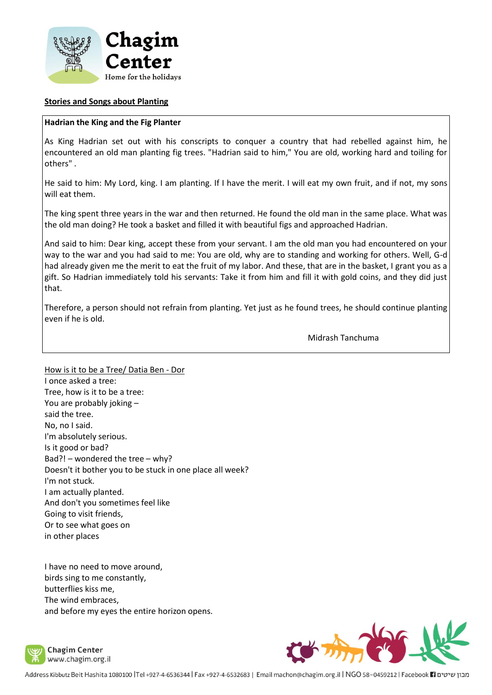

#### **Stories and Songs about Planting**

#### **Hadrian the King and the Fig Planter**

As King Hadrian set out with his conscripts to conquer a country that had rebelled against him, he encountered an old man planting fig trees. "Hadrian said to him," You are old, working hard and toiling for others" .

He said to him: My Lord, king. I am planting. If I have the merit. I will eat my own fruit, and if not, my sons will eat them.

The king spent three years in the war and then returned. He found the old man in the same place. What was the old man doing? He took a basket and filled it with beautiful figs and approached Hadrian.

And said to him: Dear king, accept these from your servant. I am the old man you had encountered on your way to the war and you had said to me: You are old, why are to standing and working for others. Well, G-d had already given me the merit to eat the fruit of my labor. And these, that are in the basket, I grant you as a gift. So Hadrian immediately told his servants: Take it from him and fill it with gold coins, and they did just that.

Therefore, a person should not refrain from planting. Yet just as he found trees, he should continue planting even if he is old.

Midrash Tanchuma

How is it to be a Tree/ Datia Ben - Dor I once asked a tree: Tree, how is it to be a tree: You are probably joking – said the tree. No, no I said. I'm absolutely serious. Is it good or bad? Bad?! – wondered the tree – why? Doesn't it bother you to be stuck in one place all week? I'm not stuck. I am actually planted. And don't you sometimes feel like Going to visit friends, Or to see what goes on in other places

I have no need to move around, birds sing to me constantly, butterflies kiss me, The wind embraces, and before my eyes the entire horizon opens.



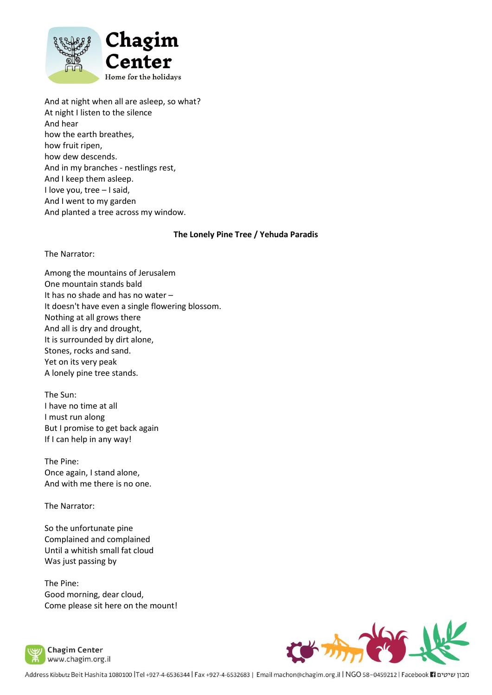

And at night when all are asleep, so what? At night I listen to the silence And hear how the earth breathes, how fruit ripen, how dew descends. And in my branches - nestlings rest, And I keep them asleep. I love you, tree – I said, And I went to my garden And planted a tree across my window.

#### **The Lonely Pine Tree / Yehuda Paradis**

The Narrator:

Among the mountains of Jerusalem One mountain stands bald It has no shade and has no water – It doesn't have even a single flowering blossom. Nothing at all grows there And all is dry and drought, It is surrounded by dirt alone, Stones, rocks and sand. Yet on its very peak A lonely pine tree stands.

The Sun: I have no time at all I must run along But I promise to get back again If I can help in any way!

The Pine: Once again, I stand alone, And with me there is no one.

The Narrator:

So the unfortunate pine Complained and complained Until a whitish small fat cloud Was just passing by

The Pine: Good morning, dear cloud, Come please sit here on the mount!



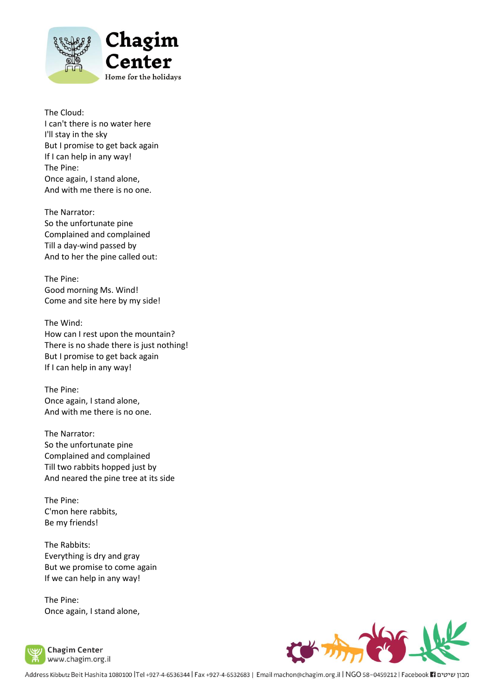

The Cloud: I can't there is no water here I'll stay in the sky But I promise to get back again If I can help in any way! The Pine: Once again, I stand alone, And with me there is no one.

The Narrator: So the unfortunate pine Complained and complained Till a day-wind passed by And to her the pine called out:

The Pine: Good morning Ms. Wind! Come and site here by my side!

The Wind: How can I rest upon the mountain? There is no shade there is just nothing! But I promise to get back again If I can help in any way!

The Pine: Once again, I stand alone, And with me there is no one.

The Narrator: So the unfortunate pine Complained and complained Till two rabbits hopped just by And neared the pine tree at its side

The Pine: C'mon here rabbits, Be my friends!

The Rabbits: Everything is dry and gray But we promise to come again If we can help in any way!

The Pine: Once again, I stand alone,



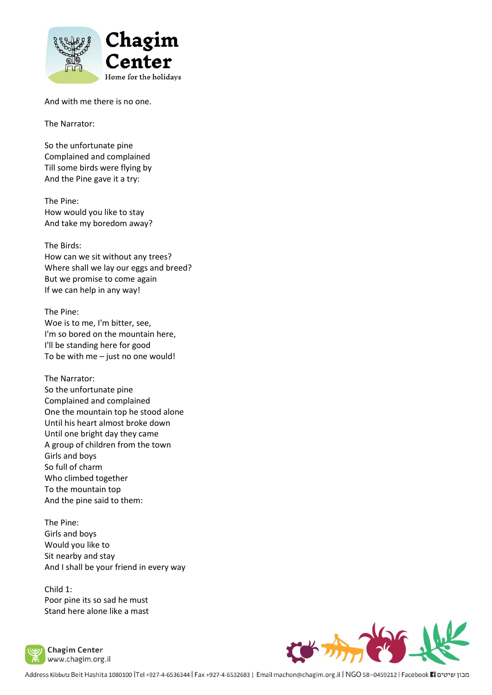

And with me there is no one.

The Narrator:

So the unfortunate pine Complained and complained Till some birds were flying by And the Pine gave it a try:

The Pine: How would you like to stay And take my boredom away?

The Birds: How can we sit without any trees? Where shall we lay our eggs and breed? But we promise to come again If we can help in any way!

The Pine: Woe is to me, I'm bitter, see, I'm so bored on the mountain here, I'll be standing here for good To be with me – just no one would!

The Narrator: So the unfortunate pine Complained and complained One the mountain top he stood alone Until his heart almost broke down Until one bright day they came A group of children from the town Girls and boys So full of charm Who climbed together To the mountain top And the pine said to them:

The Pine: Girls and boys Would you like to Sit nearby and stay And I shall be your friend in every way

Child 1: Poor pine its so sad he must Stand here alone like a mast